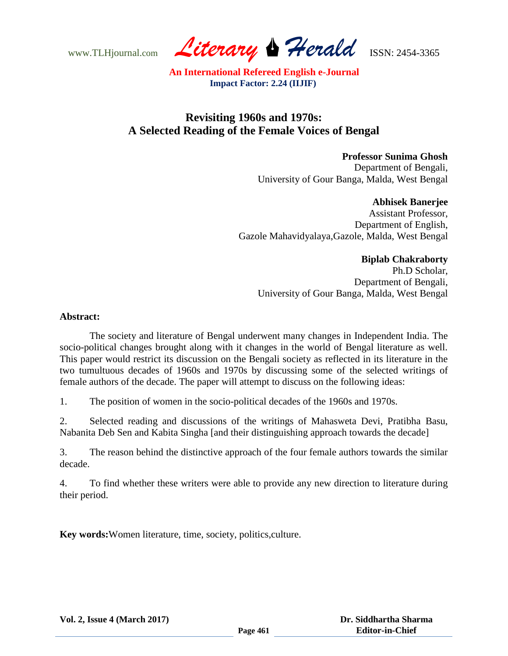www.TLHjournal.com *Literary Herald*ISSN: 2454-3365

# **Revisiting 1960s and 1970s: A Selected Reading of the Female Voices of Bengal**

**Professor Sunima Ghosh** Department of Bengali, University of Gour Banga, Malda, West Bengal

**Abhisek Banerjee** Assistant Professor, Department of English, Gazole Mahavidyalaya,Gazole, Malda, West Bengal

## **Biplab Chakraborty**

Ph.D Scholar, Department of Bengali, University of Gour Banga, Malda, West Bengal

### **Abstract:**

The society and literature of Bengal underwent many changes in Independent India. The socio-political changes brought along with it changes in the world of Bengal literature as well. This paper would restrict its discussion on the Bengali society as reflected in its literature in the two tumultuous decades of 1960s and 1970s by discussing some of the selected writings of female authors of the decade. The paper will attempt to discuss on the following ideas:

1. The position of women in the socio-political decades of the 1960s and 1970s.

2. Selected reading and discussions of the writings of Mahasweta Devi, Pratibha Basu, Nabanita Deb Sen and Kabita Singha [and their distinguishing approach towards the decade]

3. The reason behind the distinctive approach of the four female authors towards the similar decade.

4. To find whether these writers were able to provide any new direction to literature during their period.

**Key words:**Women literature, time, society, politics,culture.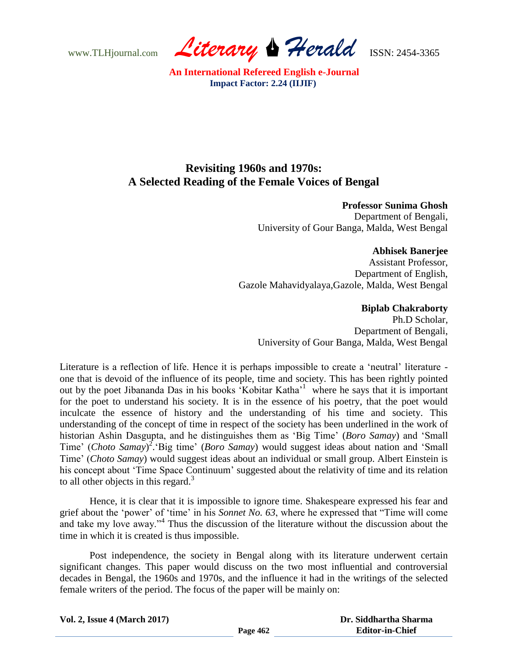www.TLHjournal.com *Literary Herald*ISSN: 2454-3365

# **Revisiting 1960s and 1970s: A Selected Reading of the Female Voices of Bengal**

#### **Professor Sunima Ghosh**

Department of Bengali, University of Gour Banga, Malda, West Bengal

#### **Abhisek Banerjee**

Assistant Professor, Department of English, Gazole Mahavidyalaya,Gazole, Malda, West Bengal

### **Biplab Chakraborty**

Ph.D Scholar, Department of Bengali, University of Gour Banga, Malda, West Bengal

Literature is a reflection of life. Hence it is perhaps impossible to create a 'neutral' literature one that is devoid of the influence of its people, time and society. This has been rightly pointed out by the poet Jibananda Das in his books 'Kobitar Katha'<sup>1</sup> where he says that it is important for the poet to understand his society. It is in the essence of his poetry, that the poet would inculcate the essence of history and the understanding of his time and society. This understanding of the concept of time in respect of the society has been underlined in the work of historian Ashin Dasgupta, and he distinguishes them as "Big Time" (*Boro Samay*) and "Small Time' (*Choto Samay*)<sup>2</sup>. Big time' (*Boro Samay*) would suggest ideas about nation and 'Small Time" (*Choto Samay*) would suggest ideas about an individual or small group. Albert Einstein is his concept about "Time Space Continuum" suggested about the relativity of time and its relation to all other objects in this regard. $3$ 

Hence, it is clear that it is impossible to ignore time. Shakespeare expressed his fear and grief about the "power" of "time" in his *Sonnet No. 63*, where he expressed that "Time will come and take my love away."<sup>4</sup> Thus the discussion of the literature without the discussion about the time in which it is created is thus impossible.

Post independence, the society in Bengal along with its literature underwent certain significant changes. This paper would discuss on the two most influential and controversial decades in Bengal, the 1960s and 1970s, and the influence it had in the writings of the selected female writers of the period. The focus of the paper will be mainly on:

**Vol. 2, Issue 4 (March 2017)**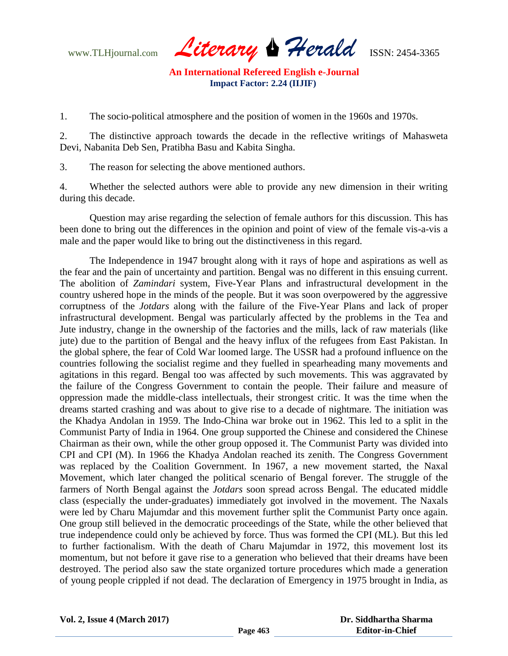www.TLHjournal.com *Literary Herald*ISSN: 2454-3365

1. The socio-political atmosphere and the position of women in the 1960s and 1970s.

2. The distinctive approach towards the decade in the reflective writings of Mahasweta Devi, Nabanita Deb Sen, Pratibha Basu and Kabita Singha.

3. The reason for selecting the above mentioned authors.

4. Whether the selected authors were able to provide any new dimension in their writing during this decade.

 Question may arise regarding the selection of female authors for this discussion. This has been done to bring out the differences in the opinion and point of view of the female vis-a-vis a male and the paper would like to bring out the distinctiveness in this regard.

The Independence in 1947 brought along with it rays of hope and aspirations as well as the fear and the pain of uncertainty and partition. Bengal was no different in this ensuing current. The abolition of *Zamindari* system, Five-Year Plans and infrastructural development in the country ushered hope in the minds of the people. But it was soon overpowered by the aggressive corruptness of the *Jotdars* along with the failure of the Five-Year Plans and lack of proper infrastructural development. Bengal was particularly affected by the problems in the Tea and Jute industry, change in the ownership of the factories and the mills, lack of raw materials (like jute) due to the partition of Bengal and the heavy influx of the refugees from East Pakistan. In the global sphere, the fear of Cold War loomed large. The USSR had a profound influence on the countries following the socialist regime and they fuelled in spearheading many movements and agitations in this regard. Bengal too was affected by such movements. This was aggravated by the failure of the Congress Government to contain the people. Their failure and measure of oppression made the middle-class intellectuals, their strongest critic. It was the time when the dreams started crashing and was about to give rise to a decade of nightmare. The initiation was the Khadya Andolan in 1959. The Indo-China war broke out in 1962. This led to a split in the Communist Party of India in 1964. One group supported the Chinese and considered the Chinese Chairman as their own, while the other group opposed it. The Communist Party was divided into CPI and CPI (M). In 1966 the Khadya Andolan reached its zenith. The Congress Government was replaced by the Coalition Government. In 1967, a new movement started, the Naxal Movement, which later changed the political scenario of Bengal forever. The struggle of the farmers of North Bengal against the *Jotdars* soon spread across Bengal. The educated middle class (especially the under-graduates) immediately got involved in the movement. The Naxals were led by Charu Majumdar and this movement further split the Communist Party once again. One group still believed in the democratic proceedings of the State, while the other believed that true independence could only be achieved by force. Thus was formed the CPI (ML). But this led to further factionalism. With the death of Charu Majumdar in 1972, this movement lost its momentum, but not before it gave rise to a generation who believed that their dreams have been destroyed. The period also saw the state organized torture procedures which made a generation of young people crippled if not dead. The declaration of Emergency in 1975 brought in India, as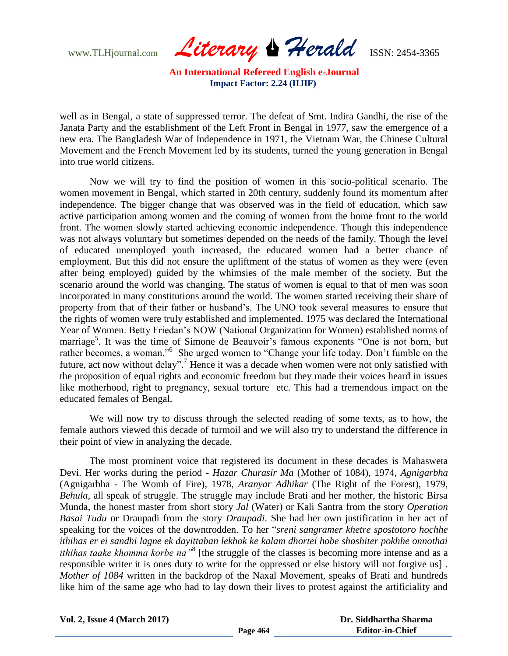www.TLHjournal.com *Literary Herald*ISSN: 2454-3365

well as in Bengal, a state of suppressed terror. The defeat of Smt. Indira Gandhi, the rise of the Janata Party and the establishment of the Left Front in Bengal in 1977, saw the emergence of a new era. The Bangladesh War of Independence in 1971, the Vietnam War, the Chinese Cultural Movement and the French Movement led by its students, turned the young generation in Bengal into true world citizens.

Now we will try to find the position of women in this socio-political scenario. The women movement in Bengal, which started in 20th century, suddenly found its momentum after independence. The bigger change that was observed was in the field of education, which saw active participation among women and the coming of women from the home front to the world front. The women slowly started achieving economic independence. Though this independence was not always voluntary but sometimes depended on the needs of the family. Though the level of educated unemployed youth increased, the educated women had a better chance of employment. But this did not ensure the upliftment of the status of women as they were (even after being employed) guided by the whimsies of the male member of the society. But the scenario around the world was changing. The status of women is equal to that of men was soon incorporated in many constitutions around the world. The women started receiving their share of property from that of their father or husband"s. The UNO took several measures to ensure that the rights of women were truly established and implemented. 1975 was declared the International Year of Women. Betty Friedan"s NOW (National Organization for Women) established norms of marriage<sup>5</sup>. It was the time of Simone de Beauvoir's famous exponents "One is not born, but rather becomes, a woman."<sup>6</sup> She urged women to "Change your life today. Don't fumble on the future, act now without delay".<sup>7</sup> Hence it was a decade when women were not only satisfied with the proposition of equal rights and economic freedom but they made their voices heard in issues like motherhood, right to pregnancy, sexual torture etc. This had a tremendous impact on the educated females of Bengal.

We will now try to discuss through the selected reading of some texts, as to how, the female authors viewed this decade of turmoil and we will also try to understand the difference in their point of view in analyzing the decade.

The most prominent voice that registered its document in these decades is Mahasweta Devi. Her works during the period - *Hazar Churasir Ma* (Mother of 1084), 1974, *Agnigarbha* (Agnigarbha - The Womb of Fire), 1978, *Aranyar Adhikar* (The Right of the Forest), 1979, *Behula,* all speak of struggle. The struggle may include Brati and her mother, the historic Birsa Munda, the honest master from short story *Jal* (Water) or Kali Santra from the story *Operation Basai Tudu* or Draupadi from the story *Draupadi*. She had her own justification in her act of speaking for the voices of the downtrodden. To her "*sreni sangramer khetre spostotoro hochhe ithihas er ei sandhi lagne ek dayittaban lekhok ke kalam dhortei hobe shoshiter pokhhe onnothai ithihas taake khomma korbe na*<sup>38</sup> [the struggle of the classes is becoming more intense and as a responsible writer it is ones duty to write for the oppressed or else history will not forgive us] . *Mother of 1084* written in the backdrop of the Naxal Movement, speaks of Brati and hundreds like him of the same age who had to lay down their lives to protest against the artificiality and

**Vol. 2, Issue 4 (March 2017)**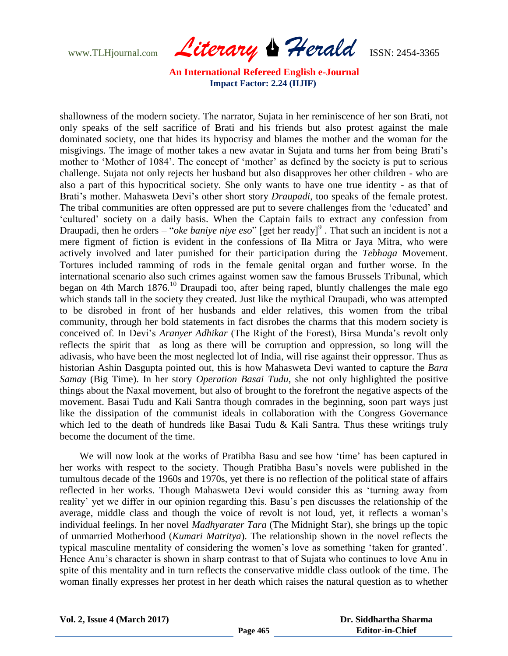www.TLHjournal.com *Literary Herald*ISSN: 2454-3365

shallowness of the modern society. The narrator, Sujata in her reminiscence of her son Brati, not only speaks of the self sacrifice of Brati and his friends but also protest against the male dominated society, one that hides its hypocrisy and blames the mother and the woman for the misgivings. The image of mother takes a new avatar in Sujata and turns her from being Brati"s mother to 'Mother of 1084'. The concept of 'mother' as defined by the society is put to serious challenge. Sujata not only rejects her husband but also disapproves her other children - who are also a part of this hypocritical society. She only wants to have one true identity - as that of Brati's mother. Mahasweta Devi's other short story *Draupadi*, too speaks of the female protest. The tribal communities are often oppressed are put to severe challenges from the "educated" and "cultured" society on a daily basis. When the Captain fails to extract any confession from Draupadi, then he orders – "*oke baniye niye eso*" [get her ready]<sup>9</sup>. That such an incident is not a mere figment of fiction is evident in the confessions of Ila Mitra or Jaya Mitra, who were actively involved and later punished for their participation during the *Tebhaga* Movement. Tortures included ramming of rods in the female genital organ and further worse. In the international scenario also such crimes against women saw the famous Brussels Tribunal, which began on 4th March  $1876$ <sup>10</sup> Draupadi too, after being raped, bluntly challenges the male ego which stands tall in the society they created. Just like the mythical Draupadi, who was attempted to be disrobed in front of her husbands and elder relatives, this women from the tribal community, through her bold statements in fact disrobes the charms that this modern society is conceived of. In Devi"s *Aranyer Adhikar* (The Right of the Forest), Birsa Munda"s revolt only reflects the spirit that as long as there will be corruption and oppression, so long will the adivasis, who have been the most neglected lot of India, will rise against their oppressor. Thus as historian Ashin Dasgupta pointed out, this is how Mahasweta Devi wanted to capture the *Bara Samay* (Big Time). In her story *Operation Basai Tudu*, she not only highlighted the positive things about the Naxal movement, but also of brought to the forefront the negative aspects of the movement. Basai Tudu and Kali Santra though comrades in the beginning, soon part ways just like the dissipation of the communist ideals in collaboration with the Congress Governance which led to the death of hundreds like Basai Tudu & Kali Santra. Thus these writings truly become the document of the time.

We will now look at the works of Pratibha Basu and see how 'time' has been captured in her works with respect to the society. Though Pratibha Basu"s novels were published in the tumultous decade of the 1960s and 1970s, yet there is no reflection of the political state of affairs reflected in her works. Though Mahasweta Devi would consider this as "turning away from reality' yet we differ in our opinion regarding this. Basu's pen discusses the relationship of the average, middle class and though the voice of revolt is not loud, yet, it reflects a woman"s individual feelings. In her novel *Madhyarater Tara* (The Midnight Star), she brings up the topic of unmarried Motherhood (*Kumari Matritya*). The relationship shown in the novel reflects the typical masculine mentality of considering the women"s love as something "taken for granted". Hence Anu"s character is shown in sharp contrast to that of Sujata who continues to love Anu in spite of this mentality and in turn reflects the conservative middle class outlook of the time. The woman finally expresses her protest in her death which raises the natural question as to whether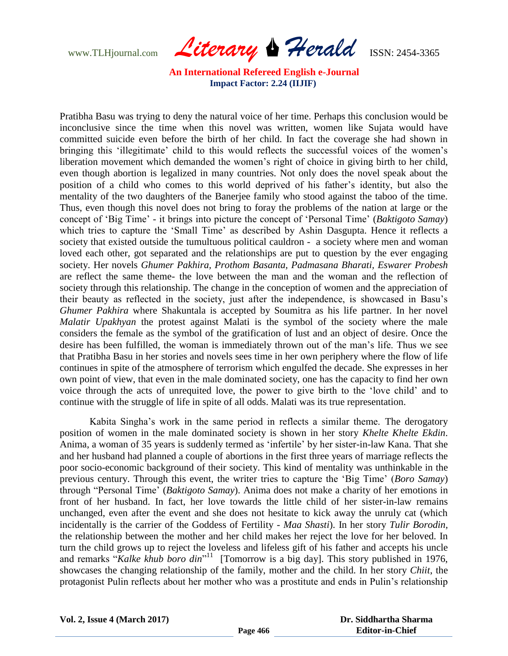www.TLHjournal.com *Literary Herald*ISSN: 2454-3365

Pratibha Basu was trying to deny the natural voice of her time. Perhaps this conclusion would be inconclusive since the time when this novel was written, women like Sujata would have committed suicide even before the birth of her child. In fact the coverage she had shown in bringing this 'illegitimate' child to this would reflects the successful voices of the women's liberation movement which demanded the women"s right of choice in giving birth to her child, even though abortion is legalized in many countries. Not only does the novel speak about the position of a child who comes to this world deprived of his father"s identity, but also the mentality of the two daughters of the Banerjee family who stood against the taboo of the time. Thus, even though this novel does not bring to foray the problems of the nation at large or the concept of "Big Time" - it brings into picture the concept of "Personal Time" (*Baktigoto Samay*) which tries to capture the 'Small Time' as described by Ashin Dasgupta. Hence it reflects a society that existed outside the tumultuous political cauldron - a society where men and woman loved each other, got separated and the relationships are put to question by the ever engaging society. Her novels *Ghumer Pakhira, Prothom Basanta, Padmasana Bharati, Eswarer Probesh* are reflect the same theme- the love between the man and the woman and the reflection of society through this relationship. The change in the conception of women and the appreciation of their beauty as reflected in the society, just after the independence, is showcased in Basu"s *Ghumer Pakhira* where Shakuntala is accepted by Soumitra as his life partner. In her novel *Malatir Upakhyan* the protest against Malati is the symbol of the society where the male considers the female as the symbol of the gratification of lust and an object of desire. Once the desire has been fulfilled, the woman is immediately thrown out of the man"s life. Thus we see that Pratibha Basu in her stories and novels sees time in her own periphery where the flow of life continues in spite of the atmosphere of terrorism which engulfed the decade. She expresses in her own point of view, that even in the male dominated society, one has the capacity to find her own voice through the acts of unrequited love, the power to give birth to the "love child" and to continue with the struggle of life in spite of all odds. Malati was its true representation.

Kabita Singha"s work in the same period in reflects a similar theme. The derogatory position of women in the male dominated society is shown in her story *Khelte Khelte Ekdin*. Anima, a woman of 35 years is suddenly termed as "infertile" by her sister-in-law Kana. That she and her husband had planned a couple of abortions in the first three years of marriage reflects the poor socio-economic background of their society. This kind of mentality was unthinkable in the previous century. Through this event, the writer tries to capture the "Big Time" (*Boro Samay*) through "Personal Time" (*Baktigoto Samay*). Anima does not make a charity of her emotions in front of her husband. In fact, her love towards the little child of her sister-in-law remains unchanged, even after the event and she does not hesitate to kick away the unruly cat (which incidentally is the carrier of the Goddess of Fertility - *Maa Shasti*). In her story *Tulir Borodin,* the relationship between the mother and her child makes her reject the love for her beloved. In turn the child grows up to reject the loveless and lifeless gift of his father and accepts his uncle and remarks "Kalke khub boro din<sup>"11</sup> [Tomorrow is a big day]. This story published in 1976, showcases the changing relationship of the family, mother and the child. In her story *Chiit*, the protagonist Pulin reflects about her mother who was a prostitute and ends in Pulin"s relationship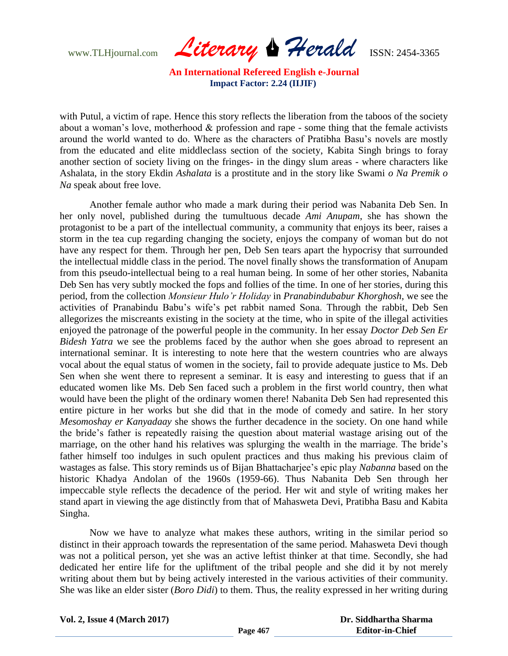www.TLHjournal.com *Literary Herald*ISSN: 2454-3365

with Putul, a victim of rape. Hence this story reflects the liberation from the taboos of the society about a woman's love, motherhood  $\&$  profession and rape - some thing that the female activists around the world wanted to do. Where as the characters of Pratibha Basu"s novels are mostly from the educated and elite middleclass section of the society, Kabita Singh brings to foray another section of society living on the fringes- in the dingy slum areas - where characters like Ashalata, in the story Ekdin *Ashalata* is a prostitute and in the story like Swami *o Na Premik o Na* speak about free love.

Another female author who made a mark during their period was Nabanita Deb Sen. In her only novel, published during the tumultuous decade *Ami Anupam*, she has shown the protagonist to be a part of the intellectual community, a community that enjoys its beer, raises a storm in the tea cup regarding changing the society, enjoys the company of woman but do not have any respect for them. Through her pen, Deb Sen tears apart the hypocrisy that surrounded the intellectual middle class in the period. The novel finally shows the transformation of Anupam from this pseudo-intellectual being to a real human being. In some of her other stories, Nabanita Deb Sen has very subtly mocked the fops and follies of the time. In one of her stories, during this period, from the collection *Monsieur Hulo'r Holiday* in *Pranabindubabur Khorghosh*, we see the activities of Pranabindu Babu's wife's pet rabbit named Sona. Through the rabbit, Deb Sen allegorizes the miscreants existing in the society at the time, who in spite of the illegal activities enjoyed the patronage of the powerful people in the community. In her essay *Doctor Deb Sen Er Bidesh Yatra* we see the problems faced by the author when she goes abroad to represent an international seminar. It is interesting to note here that the western countries who are always vocal about the equal status of women in the society, fail to provide adequate justice to Ms. Deb Sen when she went there to represent a seminar. It is easy and interesting to guess that if an educated women like Ms. Deb Sen faced such a problem in the first world country, then what would have been the plight of the ordinary women there! Nabanita Deb Sen had represented this entire picture in her works but she did that in the mode of comedy and satire. In her story *Mesomoshay er Kanyadaay* she shows the further decadence in the society. On one hand while the bride"s father is repeatedly raising the question about material wastage arising out of the marriage, on the other hand his relatives was splurging the wealth in the marriage. The bride"s father himself too indulges in such opulent practices and thus making his previous claim of wastages as false. This story reminds us of Bijan Bhattacharjee"s epic play *Nabanna* based on the historic Khadya Andolan of the 1960s (1959-66). Thus Nabanita Deb Sen through her impeccable style reflects the decadence of the period. Her wit and style of writing makes her stand apart in viewing the age distinctly from that of Mahasweta Devi, Pratibha Basu and Kabita Singha.

Now we have to analyze what makes these authors, writing in the similar period so distinct in their approach towards the representation of the same period. Mahasweta Devi though was not a political person, yet she was an active leftist thinker at that time. Secondly, she had dedicated her entire life for the upliftment of the tribal people and she did it by not merely writing about them but by being actively interested in the various activities of their community. She was like an elder sister (*Boro Didi*) to them. Thus, the reality expressed in her writing during

**Vol. 2, Issue 4 (March 2017)**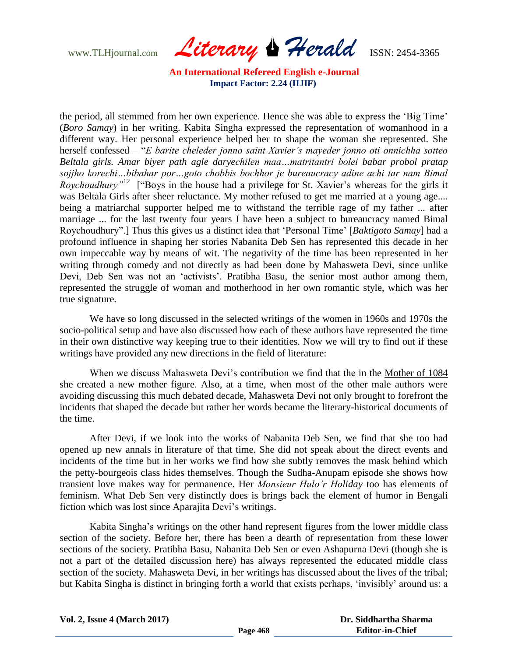www.TLHjournal.com *Literary Herald*ISSN: 2454-3365

the period, all stemmed from her own experience. Hence she was able to express the "Big Time" (*Boro Samay*) in her writing. Kabita Singha expressed the representation of womanhood in a different way. Her personal experience helped her to shape the woman she represented. She herself confessed – "*E barite cheleder jonno saint Xavier's mayeder jonno oti onnichha sotteo Beltala girls. Amar biyer path agle daryechilen maa…matritantri bolei babar probol pratap sojjho korechi…bibahar por…goto chobbis bochhor je bureaucracy adine achi tar nam Bimal Roychoudhury*<sup>"12</sup> ["Boys in the house had a privilege for St. Xavier's whereas for the girls it was Beltala Girls after sheer reluctance. My mother refused to get me married at a young age.... being a matriarchal supporter helped me to withstand the terrible rage of my father ... after marriage ... for the last twenty four years I have been a subject to bureaucracy named Bimal Roychoudhury".] Thus this gives us a distinct idea that "Personal Time" [*Baktigoto Samay*] had a profound influence in shaping her stories Nabanita Deb Sen has represented this decade in her own impeccable way by means of wit. The negativity of the time has been represented in her writing through comedy and not directly as had been done by Mahasweta Devi, since unlike Devi, Deb Sen was not an 'activists'. Pratibha Basu, the senior most author among them, represented the struggle of woman and motherhood in her own romantic style, which was her true signature.

We have so long discussed in the selected writings of the women in 1960s and 1970s the socio-political setup and have also discussed how each of these authors have represented the time in their own distinctive way keeping true to their identities. Now we will try to find out if these writings have provided any new directions in the field of literature:

When we discuss Mahasweta Devi"s contribution we find that the in the Mother of 1084 she created a new mother figure. Also, at a time, when most of the other male authors were avoiding discussing this much debated decade, Mahasweta Devi not only brought to forefront the incidents that shaped the decade but rather her words became the literary-historical documents of the time.

After Devi, if we look into the works of Nabanita Deb Sen, we find that she too had opened up new annals in literature of that time. She did not speak about the direct events and incidents of the time but in her works we find how she subtly removes the mask behind which the petty-bourgeois class hides themselves. Though the Sudha-Anupam episode she shows how transient love makes way for permanence. Her *Monsieur Hulo'r Holiday* too has elements of feminism. What Deb Sen very distinctly does is brings back the element of humor in Bengali fiction which was lost since Aparajita Devi's writings.

Kabita Singha's writings on the other hand represent figures from the lower middle class section of the society. Before her, there has been a dearth of representation from these lower sections of the society. Pratibha Basu, Nabanita Deb Sen or even Ashapurna Devi (though she is not a part of the detailed discussion here) has always represented the educated middle class section of the society. Mahasweta Devi, in her writings has discussed about the lives of the tribal; but Kabita Singha is distinct in bringing forth a world that exists perhaps, "invisibly" around us: a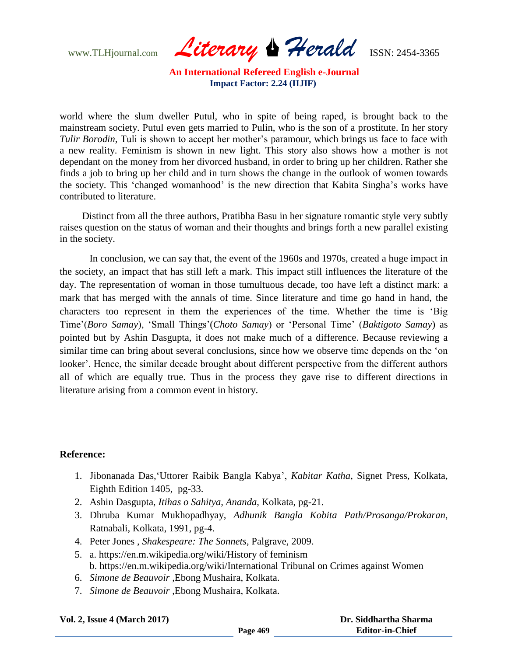www.TLHjournal.com *Literary Herald*ISSN: 2454-3365

world where the slum dweller Putul, who in spite of being raped, is brought back to the mainstream society. Putul even gets married to Pulin, who is the son of a prostitute. In her story *Tulir Borodin*, Tuli is shown to accept her mother's paramour, which brings us face to face with a new reality. Feminism is shown in new light. This story also shows how a mother is not dependant on the money from her divorced husband, in order to bring up her children. Rather she finds a job to bring up her child and in turn shows the change in the outlook of women towards the society. This "changed womanhood" is the new direction that Kabita Singha"s works have contributed to literature.

 Distinct from all the three authors, Pratibha Basu in her signature romantic style very subtly raises question on the status of woman and their thoughts and brings forth a new parallel existing in the society.

In conclusion, we can say that, the event of the 1960s and 1970s, created a huge impact in the society, an impact that has still left a mark. This impact still influences the literature of the day. The representation of woman in those tumultuous decade, too have left a distinct mark: a mark that has merged with the annals of time. Since literature and time go hand in hand, the characters too represent in them the experiences of the time. Whether the time is "Big Time"(*Boro Samay*), "Small Things"(*Choto Samay*) or "Personal Time" (*Baktigoto Samay*) as pointed but by Ashin Dasgupta, it does not make much of a difference. Because reviewing a similar time can bring about several conclusions, since how we observe time depends on the "on looker'. Hence, the similar decade brought about different perspective from the different authors all of which are equally true. Thus in the process they gave rise to different directions in literature arising from a common event in history.

#### **Reference:**

- 1. Jibonanada Das,"Uttorer Raibik Bangla Kabya", *Kabitar Katha*, Signet Press, Kolkata, Eighth Edition 1405, pg-33.
- 2. Ashin Dasgupta, *Itihas o Sahitya, Ananda*, Kolkata, pg-21.
- 3. Dhruba Kumar Mukhopadhyay, *Adhunik Bangla Kobita Path/Prosanga/Prokaran*, Ratnabali, Kolkata, 1991, pg-4.
- 4. Peter Jones , *Shakespeare: The Sonnets*, Palgrave, 2009.
- 5. a. https://en.m.wikipedia.org/wiki/History of feminism b. https://en.m.wikipedia.org/wiki/International Tribunal on Crimes against Women
- 6. *Simone de Beauvoir* ,Ebong Mushaira, Kolkata.
- 7. *Simone de Beauvoir* ,Ebong Mushaira, Kolkata.

#### **Vol. 2, Issue 4 (March 2017)**